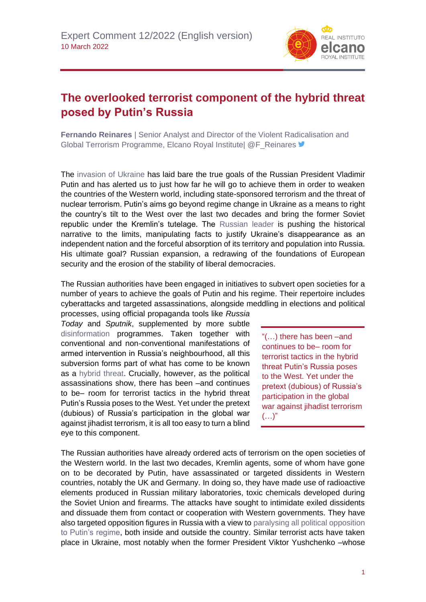

## **The overlooked terrorist component of the hybrid threat posed by Putin's Russia**

**Fernando Reinares** | Senior Analyst and Director of the Violent Radicalisation and Global Terrorism Programme, Elcano Royal Institutel @F\_Reinares

The [invasion of Ukraine](https://www.realinstitutoelcano.org/especiales/especial-ucrania/) has laid bare the true goals of the Russian President Vladimir Putin and has alerted us to just how far he will go to achieve them in order to weaken the countries of the Western world, including state-sponsored terrorism and the threat of nuclear terrorism. Putin's aims go beyond regime change in Ukraine as a means to right the country's tilt to the West over the last two decades and bring the former Soviet republic under the Kremlin's tutelage. The [Russian leader](https://www.realinstitutoelcano.org/analisis/el-putinismo-sistema-politico-de-rusia/) is pushing the historical narrative to the limits, manipulating facts to justify Ukraine's disappearance as an independent nation and the forceful absorption of its territory and population into Russia. His ultimate goal? Russian expansion, a redrawing of the foundations of European security and the erosion of the stability of liberal democracies.

The Russian authorities have been engaged in initiatives to subvert open societies for a number of years to achieve the goals of Putin and his regime. Their repertoire includes cyberattacks and targeted assassinations, alongside meddling in elections and political

processes, using official propaganda tools like *Russia Today* and *Sputnik*, supplemented by more subtle [disinformation](https://www.realinstitutoelcano.org/documento-de-trabajo/la-sociedad-de-la-desinformacion-propaganda-fake-news-y-la-nueva-geopolitica-de-la-informacion/) programmes. Taken together with conventional and non-conventional manifestations of armed intervention in Russia's neighbourhood, all this subversion forms part of what has come to be known as a [hybrid threat.](https://www.realinstitutoelcano.org/documento-de-trabajo/amenazas-hibridas-nuevas-herramientas-para-viejas-aspiraciones/) Crucially, however, as the political assassinations show, there has been –and continues to be– room for terrorist tactics in the hybrid threat Putin's Russia poses to the West. Yet under the pretext (dubious) of Russia's participation in the global war against jihadist terrorism, it is all too easy to turn a blind eye to this component.

"(…) there has been –and continues to be– room for terrorist tactics in the hybrid threat Putin's Russia poses to the West. Yet under the pretext (dubious) of Russia's participation in the global war against jihadist terrorism  $(...)$ "

The Russian authorities have already ordered acts of terrorism on the open societies of the Western world. In the last two decades, Kremlin agents, some of whom have gone on to be decorated by Putin, have assassinated or targeted dissidents in Western countries, notably the UK and Germany. In doing so, they have made use of radioactive elements produced in Russian military laboratories, toxic chemicals developed during the Soviet Union and firearms. The attacks have sought to intimidate exiled dissidents and dissuade them from contact or cooperation with Western governments. They have also targeted opposition figures in Russia with a view to [paralysing all political opposition](https://www.realinstitutoelcano.org/agentes-extranjeros-y-organizaciones-extremistas-de-rusia/)  [to Putin's regime,](https://www.realinstitutoelcano.org/agentes-extranjeros-y-organizaciones-extremistas-de-rusia/) both inside and outside the country. Similar terrorist acts have taken place in Ukraine, most notably when the former President Viktor Yushchenko –whose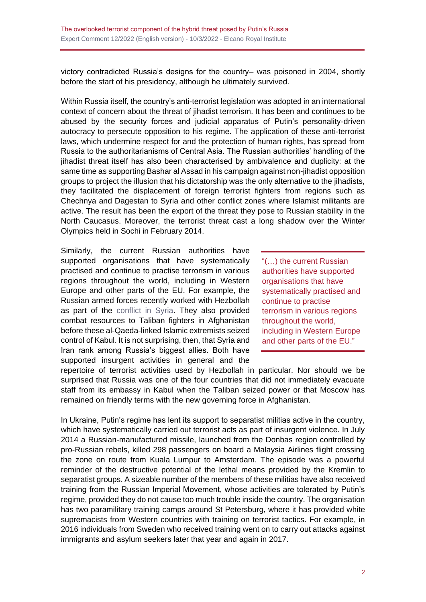victory contradicted Russia's designs for the country– was poisoned in 2004, shortly before the start of his presidency, although he ultimately survived.

Within Russia itself, the country's anti-terrorist legislation was adopted in an international context of concern about the threat of jihadist terrorism. It has been and continues to be abused by the security forces and judicial apparatus of Putin's personality-driven autocracy to persecute opposition to his regime. The application of these anti-terrorist laws, which undermine respect for and the protection of human rights, has spread from Russia to the authoritarianisms of Central Asia. The Russian authorities' handling of the jihadist threat itself has also been characterised by ambivalence and duplicity: at the same time as supporting Bashar al Assad in his campaign against non-jihadist opposition groups to project the illusion that his dictatorship was the only alternative to the jihadists, they facilitated the displacement of foreign terrorist fighters from regions such as Chechnya and Dagestan to Syria and other conflict zones where Islamist militants are active. The result has been the export of the threat they pose to Russian stability in the North Caucasus. Moreover, the terrorist threat cast a long shadow over the Winter Olympics held in Sochi in February 2014.

Similarly, the current Russian authorities have supported organisations that have systematically practised and continue to practise terrorism in various regions throughout the world, including in Western Europe and other parts of the EU. For example, the Russian armed forces recently worked with Hezbollah as part of the [conflict in Syria.](https://www.realinstitutoelcano.org/analisis/es-rusia-una-gran-potencia-en-oriente-medio/) They also provided combat resources to Taliban fighters in Afghanistan before these al-Qaeda-linked Islamic extremists seized control of Kabul. It is not surprising, then, that Syria and Iran rank among Russia's biggest allies. Both have supported insurgent activities in general and the

"(…) the current Russian authorities have supported organisations that have systematically practised and continue to practise terrorism in various regions throughout the world, including in Western Europe and other parts of the EU."

repertoire of terrorist activities used by Hezbollah in particular. Nor should we be surprised that Russia was one of the four countries that did not immediately evacuate staff from its embassy in Kabul when the Taliban seized power or that Moscow has remained on friendly terms with the new governing force in Afghanistan.

In Ukraine, Putin's regime has lent its support to separatist militias active in the country, which have systematically carried out terrorist acts as part of insurgent violence. In July 2014 a Russian-manufactured missile, launched from the Donbas region controlled by pro-Russian rebels, killed 298 passengers on board a Malaysia Airlines flight crossing the zone on route from Kuala Lumpur to Amsterdam. The episode was a powerful reminder of the destructive potential of the lethal means provided by the Kremlin to separatist groups. A sizeable number of the members of these militias have also received training from the Russian Imperial Movement, whose activities are tolerated by Putin's regime, provided they do not cause too much trouble inside the country. The organisation has two paramilitary training camps around St Petersburg, where it has provided white supremacists from Western countries with training on terrorist tactics. For example, in 2016 individuals from Sweden who received training went on to carry out attacks against immigrants and asylum seekers later that year and again in 2017.